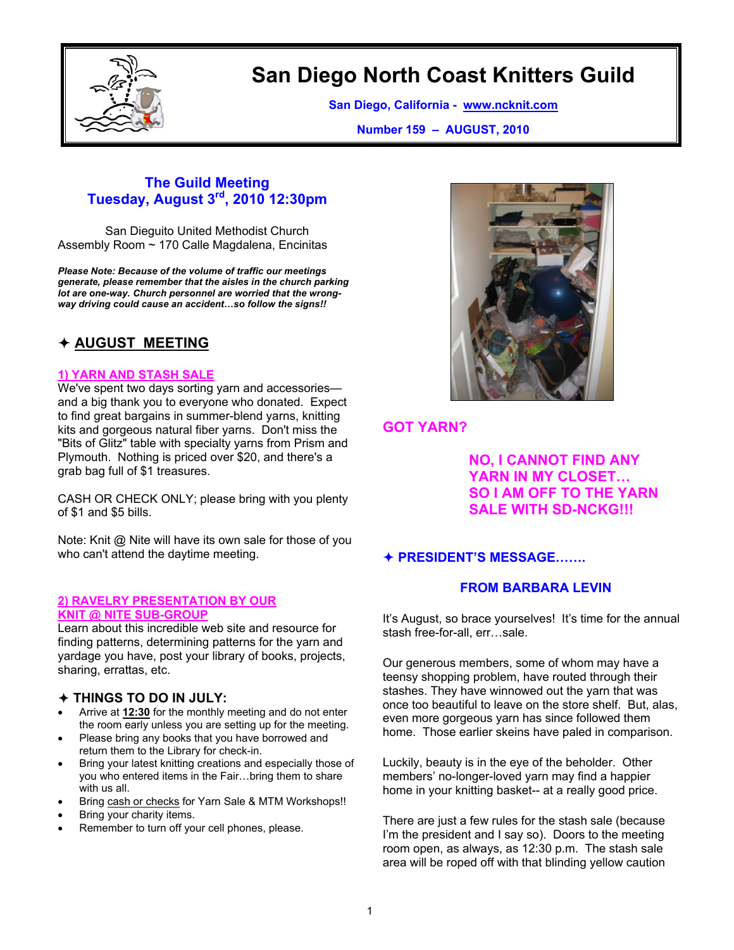

# **San Diego North Coast Knitters Guild**

**San Diego, California - www.ncknit.com**

**Number 159 – AUGUST, 2010**

# **The Guild Meeting Tuesday, August 3rd, 2010 12:30pm**

San Dieguito United Methodist Church Assembly Room ~ 170 Calle Magdalena, Encinitas

*Please Note: Because of the volume of traffic our meetings generate, please remember that the aisles in the church parking lot are one-way. Church personnel are worried that the wrongway driving could cause an accident…so follow the signs!!* 

# Ø **AUGUST MEETING**

#### **1) YARN AND STASH SALE**

We've spent two days sorting yarn and accessories and a big thank you to everyone who donated. Expect to find great bargains in summer-blend yarns, knitting kits and gorgeous natural fiber yarns. Don't miss the "Bits of Glitz" table with specialty yarns from Prism and Plymouth. Nothing is priced over \$20, and there's a grab bag full of \$1 treasures.

CASH OR CHECK ONLY; please bring with you plenty of \$1 and \$5 bills.

Note: Knit @ Nite will have its own sale for those of you who can't attend the daytime meeting.

#### **2) RAVELRY PRESENTATION BY OUR KNIT @ NITE SUB-GROUP**

Learn about this incredible web site and resource for finding patterns, determining patterns for the yarn and yardage you have, post your library of books, projects, sharing, errattas, etc.

## Ø **THINGS TO DO IN JULY:**

- Arrive at **12:30** for the monthly meeting and do not enter the room early unless you are setting up for the meeting.
- Please bring any books that you have borrowed and return them to the Library for check-in.
- Bring your latest knitting creations and especially those of you who entered items in the Fair…bring them to share with us all.
- Bring cash or checks for Yarn Sale & MTM Workshops!!
- Bring your charity items.
- Remember to turn off your cell phones, please.



# **GOT YARN?**

 **NO, I CANNOT FIND ANY YARN IN MY CLOSET… SO I AM OFF TO THE YARN SALE WITH SD-NCKG!!!** 

# Ø **PRESIDENT'S MESSAGE…….**

## **FROM BARBARA LEVIN**

It's August, so brace yourselves! It's time for the annual stash free-for-all, err…sale.

Our generous members, some of whom may have a teensy shopping problem, have routed through their stashes. They have winnowed out the yarn that was once too beautiful to leave on the store shelf. But, alas, even more gorgeous yarn has since followed them home. Those earlier skeins have paled in comparison.

Luckily, beauty is in the eye of the beholder. Other members' no-longer-loved yarn may find a happier home in your knitting basket-- at a really good price.

There are just a few rules for the stash sale (because I'm the president and I say so). Doors to the meeting room open, as always, as 12:30 p.m. The stash sale area will be roped off with that blinding yellow caution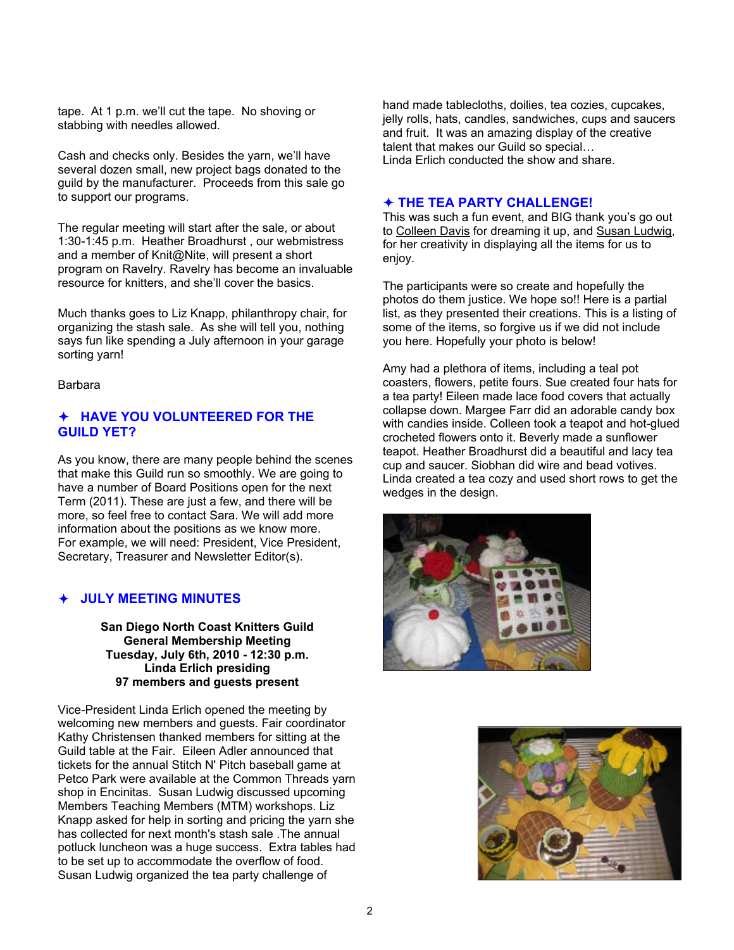tape. At 1 p.m. we'll cut the tape. No shoving or stabbing with needles allowed.

Cash and checks only. Besides the yarn, we'll have several dozen small, new project bags donated to the guild by the manufacturer. Proceeds from this sale go to support our programs.

The regular meeting will start after the sale, or about 1:30-1:45 p.m. Heather Broadhurst , our webmistress and a member of Knit@Nite, will present a short program on Ravelry. Ravelry has become an invaluable resource for knitters, and she'll cover the basics.

Much thanks goes to Liz Knapp, philanthropy chair, for organizing the stash sale. As she will tell you, nothing says fun like spending a July afternoon in your garage sorting yarn!

Barbara

## Ø **HAVE YOU VOLUNTEERED FOR THE GUILD YET?**

As you know, there are many people behind the scenes that make this Guild run so smoothly. We are going to have a number of Board Positions open for the next Term (2011). These are just a few, and there will be more, so feel free to contact Sara. We will add more information about the positions as we know more. For example, we will need: President, Vice President, Secretary, Treasurer and Newsletter Editor(s).

## Ø **JULY MEETING MINUTES**

**San Diego North Coast Knitters Guild General Membership Meeting Tuesday, July 6th, 2010 - 12:30 p.m. Linda Erlich presiding 97 members and guests present** 

Vice-President Linda Erlich opened the meeting by welcoming new members and guests. Fair coordinator Kathy Christensen thanked members for sitting at the Guild table at the Fair. Eileen Adler announced that tickets for the annual Stitch N' Pitch baseball game at Petco Park were available at the Common Threads yarn shop in Encinitas. Susan Ludwig discussed upcoming Members Teaching Members (MTM) workshops. Liz Knapp asked for help in sorting and pricing the yarn she has collected for next month's stash sale .The annual potluck luncheon was a huge success. Extra tables had to be set up to accommodate the overflow of food. Susan Ludwig organized the tea party challenge of

hand made tablecloths, doilies, tea cozies, cupcakes, jelly rolls, hats, candles, sandwiches, cups and saucers and fruit. It was an amazing display of the creative talent that makes our Guild so special… Linda Erlich conducted the show and share.

#### Ø **THE TEA PARTY CHALLENGE!**

This was such a fun event, and BIG thank you's go out to Colleen Davis for dreaming it up, and Susan Ludwig, for her creativity in displaying all the items for us to enjoy.

The participants were so create and hopefully the photos do them justice. We hope so!! Here is a partial list, as they presented their creations. This is a listing of some of the items, so forgive us if we did not include you here. Hopefully your photo is below!

Amy had a plethora of items, including a teal pot coasters, flowers, petite fours. Sue created four hats for a tea party! Eileen made lace food covers that actually collapse down. Margee Farr did an adorable candy box with candies inside. Colleen took a teapot and hot-glued crocheted flowers onto it. Beverly made a sunflower teapot. Heather Broadhurst did a beautiful and lacy tea cup and saucer. Siobhan did wire and bead votives. Linda created a tea cozy and used short rows to get the wedges in the design.



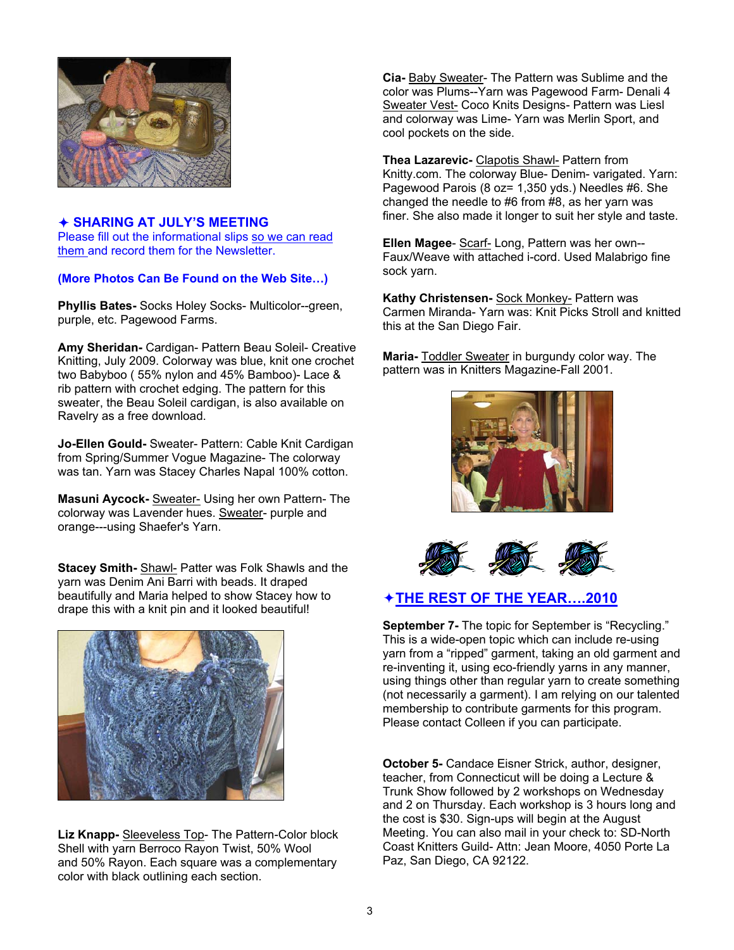

#### Ø **SHARING AT JULY'S MEETING**  Please fill out the informational slips so we can read

them and record them for the Newsletter.

## **(More Photos Can Be Found on the Web Site…)**

**Phyllis Bates-** Socks Holey Socks- Multicolor--green, purple, etc. Pagewood Farms.

**Amy Sheridan-** Cardigan- Pattern Beau Soleil- Creative Knitting, July 2009. Colorway was blue, knit one crochet two Babyboo ( 55% nylon and 45% Bamboo)- Lace & rib pattern with crochet edging. The pattern for this sweater, the Beau Soleil cardigan, is also available on Ravelry as a free download.

**Jo-Ellen Gould-** Sweater- Pattern: Cable Knit Cardigan from Spring/Summer Vogue Magazine- The colorway was tan. Yarn was Stacey Charles Napal 100% cotton.

**Masuni Aycock-** Sweater- Using her own Pattern- The colorway was Lavender hues. Sweater- purple and orange---using Shaefer's Yarn.

**Stacey Smith-** Shawl- Patter was Folk Shawls and the yarn was Denim Ani Barri with beads. It draped beautifully and Maria helped to show Stacey how to drape this with a knit pin and it looked beautiful!



**Liz Knapp-** Sleeveless Top- The Pattern-Color block Shell with yarn Berroco Rayon Twist, 50% Wool and 50% Rayon. Each square was a complementary color with black outlining each section.

**Cia-** Baby Sweater- The Pattern was Sublime and the color was Plums--Yarn was Pagewood Farm- Denali 4 Sweater Vest- Coco Knits Designs- Pattern was Liesl and colorway was Lime- Yarn was Merlin Sport, and cool pockets on the side.

**Thea Lazarevic-** Clapotis Shawl- Pattern from Knitty.com. The colorway Blue- Denim- varigated. Yarn: Pagewood Parois (8 oz= 1,350 yds.) Needles #6. She changed the needle to #6 from #8, as her yarn was finer. She also made it longer to suit her style and taste.

**Ellen Magee**- Scarf- Long, Pattern was her own-- Faux/Weave with attached i-cord. Used Malabrigo fine sock yarn.

**Kathy Christensen-** Sock Monkey- Pattern was Carmen Miranda- Yarn was: Knit Picks Stroll and knitted this at the San Diego Fair.

**Maria-** Toddler Sweater in burgundy color way. The pattern was in Knitters Magazine-Fall 2001.





# Ø**THE REST OF THE YEAR….2010**

**September 7-** The topic for September is "Recycling." This is a wide-open topic which can include re-using yarn from a "ripped" garment, taking an old garment and re-inventing it, using eco-friendly yarns in any manner, using things other than regular yarn to create something (not necessarily a garment). I am relying on our talented membership to contribute garments for this program. Please contact Colleen if you can participate.

**October 5-** Candace Eisner Strick, author, designer, teacher, from Connecticut will be doing a Lecture & Trunk Show followed by 2 workshops on Wednesday and 2 on Thursday. Each workshop is 3 hours long and the cost is \$30. Sign-ups will begin at the August Meeting. You can also mail in your check to: SD-North Coast Knitters Guild- Attn: Jean Moore, 4050 Porte La Paz, San Diego, CA 92122.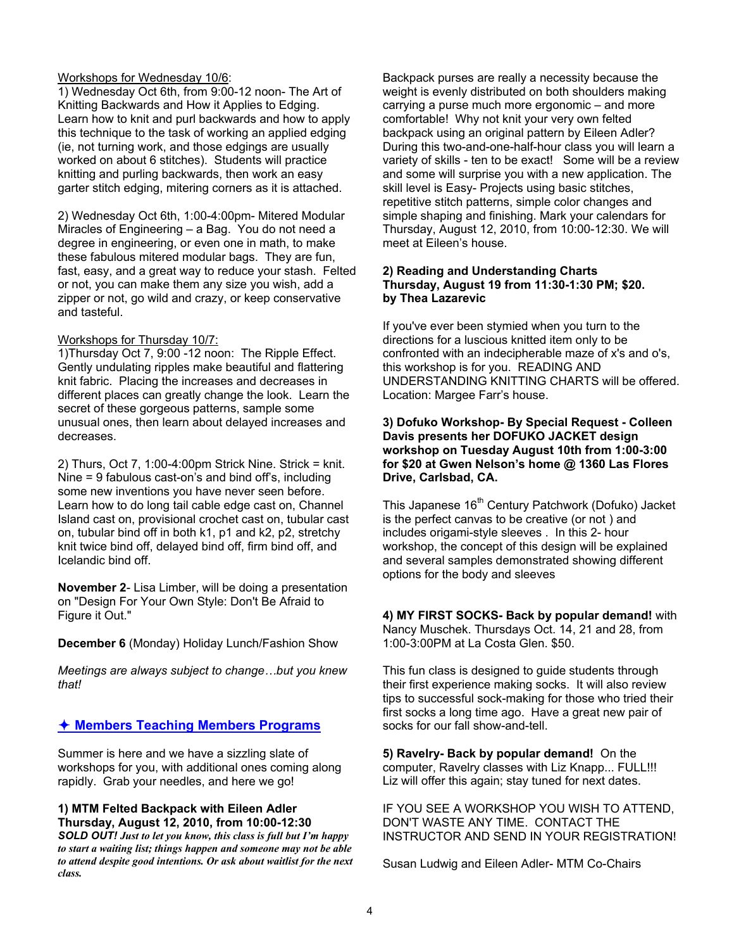#### Workshops for Wednesday 10/6:

1) Wednesday Oct 6th, from 9:00-12 noon- The Art of Knitting Backwards and How it Applies to Edging. Learn how to knit and purl backwards and how to apply this technique to the task of working an applied edging (ie, not turning work, and those edgings are usually worked on about 6 stitches). Students will practice knitting and purling backwards, then work an easy garter stitch edging, mitering corners as it is attached.

2) Wednesday Oct 6th, 1:00-4:00pm- Mitered Modular Miracles of Engineering – a Bag. You do not need a degree in engineering, or even one in math, to make these fabulous mitered modular bags. They are fun, fast, easy, and a great way to reduce your stash. Felted or not, you can make them any size you wish, add a zipper or not, go wild and crazy, or keep conservative and tasteful.

#### Workshops for Thursday 10/7:

1)Thursday Oct 7, 9:00 -12 noon: The Ripple Effect. Gently undulating ripples make beautiful and flattering knit fabric. Placing the increases and decreases in different places can greatly change the look. Learn the secret of these gorgeous patterns, sample some unusual ones, then learn about delayed increases and decreases.

2) Thurs, Oct 7, 1:00-4:00pm Strick Nine. Strick = knit. Nine = 9 fabulous cast-on's and bind off's, including some new inventions you have never seen before. Learn how to do long tail cable edge cast on, Channel Island cast on, provisional crochet cast on, tubular cast on, tubular bind off in both k1, p1 and k2, p2, stretchy knit twice bind off, delayed bind off, firm bind off, and Icelandic bind off.

**November 2**- Lisa Limber, will be doing a presentation on "Design For Your Own Style: Don't Be Afraid to Figure it Out."

**December 6** (Monday) Holiday Lunch/Fashion Show

*Meetings are always subject to change…but you knew that!* 

## Ø **Members Teaching Members Programs**

Summer is here and we have a sizzling slate of workshops for you, with additional ones coming along rapidly. Grab your needles, and here we go!

#### **1) MTM Felted Backpack with Eileen Adler Thursday, August 12, 2010, from 10:00-12:30**

*SOLD OUT! Just to let you know, this class is full but I'm happy to start a waiting list; things happen and someone may not be able to attend despite good intentions. Or ask about waitlist for the next class.*

Backpack purses are really a necessity because the weight is evenly distributed on both shoulders making carrying a purse much more ergonomic – and more comfortable! Why not knit your very own felted backpack using an original pattern by Eileen Adler? During this two-and-one-half-hour class you will learn a variety of skills - ten to be exact! Some will be a review and some will surprise you with a new application. The skill level is Easy- Projects using basic stitches, repetitive stitch patterns, simple color changes and simple shaping and finishing. Mark your calendars for Thursday, August 12, 2010, from 10:00-12:30. We will meet at Eileen's house.

#### **2) Reading and Understanding Charts Thursday, August 19 from 11:30-1:30 PM; \$20. by Thea Lazarevic**

If you've ever been stymied when you turn to the directions for a luscious knitted item only to be confronted with an indecipherable maze of x's and o's, this workshop is for you. READING AND UNDERSTANDING KNITTING CHARTS will be offered. Location: Margee Farr's house.

#### **3) Dofuko Workshop- By Special Request - Colleen Davis presents her DOFUKO JACKET design workshop on Tuesday August 10th from 1:00-3:00 for \$20 at Gwen Nelson's home @ 1360 Las Flores Drive, Carlsbad, CA.**

This Japanese 16<sup>th</sup> Century Patchwork (Dofuko) Jacket is the perfect canvas to be creative (or not ) and includes origami-style sleeves . In this 2- hour workshop, the concept of this design will be explained and several samples demonstrated showing different options for the body and sleeves

**4) MY FIRST SOCKS- Back by popular demand!** with Nancy Muschek. Thursdays Oct. 14, 21 and 28, from 1:00-3:00PM at La Costa Glen. \$50.

This fun class is designed to guide students through their first experience making socks. It will also review tips to successful sock-making for those who tried their first socks a long time ago. Have a great new pair of socks for our fall show-and-tell.

**5) Ravelry- Back by popular demand!** On the computer, Ravelry classes with Liz Knapp... FULL!!! Liz will offer this again; stay tuned for next dates.

IF YOU SEE A WORKSHOP YOU WISH TO ATTEND, DON'T WASTE ANY TIME. CONTACT THE INSTRUCTOR AND SEND IN YOUR REGISTRATION!

Susan Ludwig and Eileen Adler- MTM Co-Chairs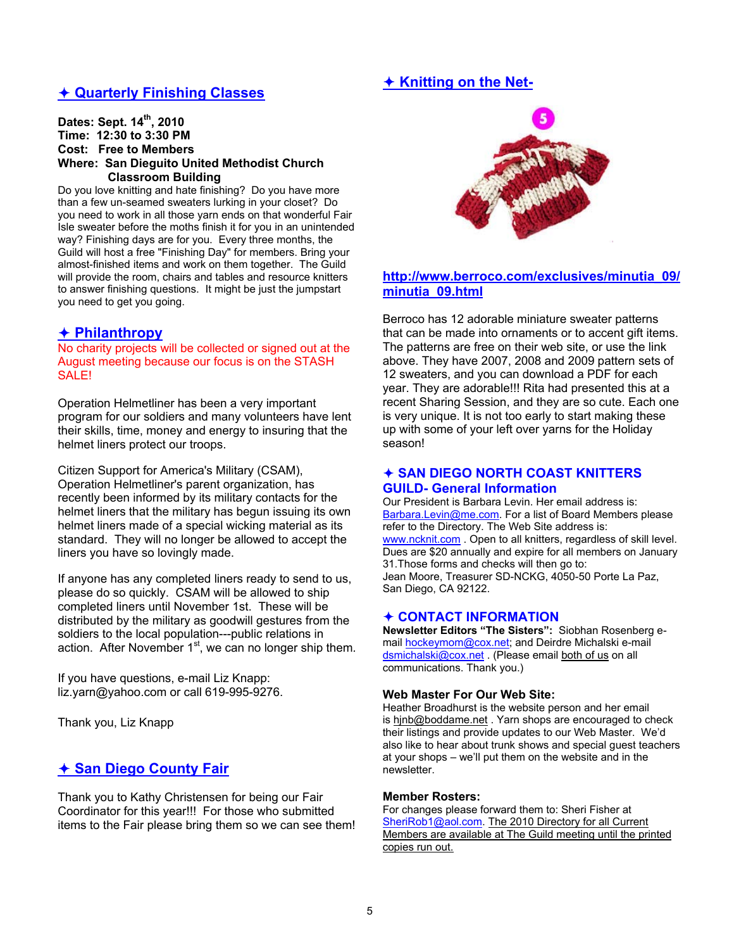# **★ Knitting on the Net-**

## Ø **Quarterly Finishing Classes**

#### **Dates: Sept. 14th, 2010 Time: 12:30 to 3:30 PM Cost: Free to Members Where: San Dieguito United Methodist Church Classroom Building**

Do you love knitting and hate finishing? Do you have more than a few un-seamed sweaters lurking in your closet? Do you need to work in all those yarn ends on that wonderful Fair Isle sweater before the moths finish it for you in an unintended way? Finishing days are for you. Every three months, the Guild will host a free "Finishing Day" for members. Bring your almost-finished items and work on them together. The Guild will provide the room, chairs and tables and resource knitters to answer finishing questions. It might be just the jumpstart you need to get you going.

#### Ø **Philanthropy**

No charity projects will be collected or signed out at the August meeting because our focus is on the STASH SALE!

Operation Helmetliner has been a very important program for our soldiers and many volunteers have lent their skills, time, money and energy to insuring that the helmet liners protect our troops.

Citizen Support for America's Military (CSAM), Operation Helmetliner's parent organization, has recently been informed by its military contacts for the helmet liners that the military has begun issuing its own helmet liners made of a special wicking material as its standard. They will no longer be allowed to accept the liners you have so lovingly made.

If anyone has any completed liners ready to send to us, please do so quickly. CSAM will be allowed to ship completed liners until November 1st. These will be distributed by the military as goodwill gestures from the soldiers to the local population---public relations in action. After November 1<sup>st</sup>, we can no longer ship them.

If you have questions, e-mail Liz Knapp: liz.yarn@yahoo.com or call 619-995-9276.

Thank you, Liz Knapp

# Ø **San Diego County Fair**

Thank you to Kathy Christensen for being our Fair Coordinator for this year!!! For those who submitted items to the Fair please bring them so we can see them!



## **http://www.berroco.com/exclusives/minutia\_09/ minutia\_09.html**

Berroco has 12 adorable miniature sweater patterns that can be made into ornaments or to accent gift items. The patterns are free on their web site, or use the link above. They have 2007, 2008 and 2009 pattern sets of 12 sweaters, and you can download a PDF for each year. They are adorable!!! Rita had presented this at a recent Sharing Session, and they are so cute. Each one is very unique. It is not too early to start making these up with some of your left over yarns for the Holiday season!

#### Ø **SAN DIEGO NORTH COAST KNITTERS GUILD- General Information**

Our President is Barbara Levin. Her email address is: Barbara.Levin@me.com. For a list of Board Members please refer to the Directory. The Web Site address is: www.ncknit.com . Open to all knitters, regardless of skill level. Dues are \$20 annually and expire for all members on January 31.Those forms and checks will then go to: Jean Moore, Treasurer SD-NCKG, 4050-50 Porte La Paz, San Diego, CA 92122.

#### Ø **CONTACT INFORMATION**

**Newsletter Editors "The Sisters":** Siobhan Rosenberg email hockeymom@cox.net; and Deirdre Michalski e-mail dsmichalski@cox.net . (Please email both of us on all communications. Thank you.)

#### **Web Master For Our Web Site:**

Heather Broadhurst is the website person and her email is hjnb@boddame.net . Yarn shops are encouraged to check their listings and provide updates to our Web Master. We'd also like to hear about trunk shows and special guest teachers at your shops – we'll put them on the website and in the newsletter.

#### **Member Rosters:**

For changes please forward them to: Sheri Fisher at SheriRob1@aol.com. The 2010 Directory for all Current Members are available at The Guild meeting until the printed copies run out.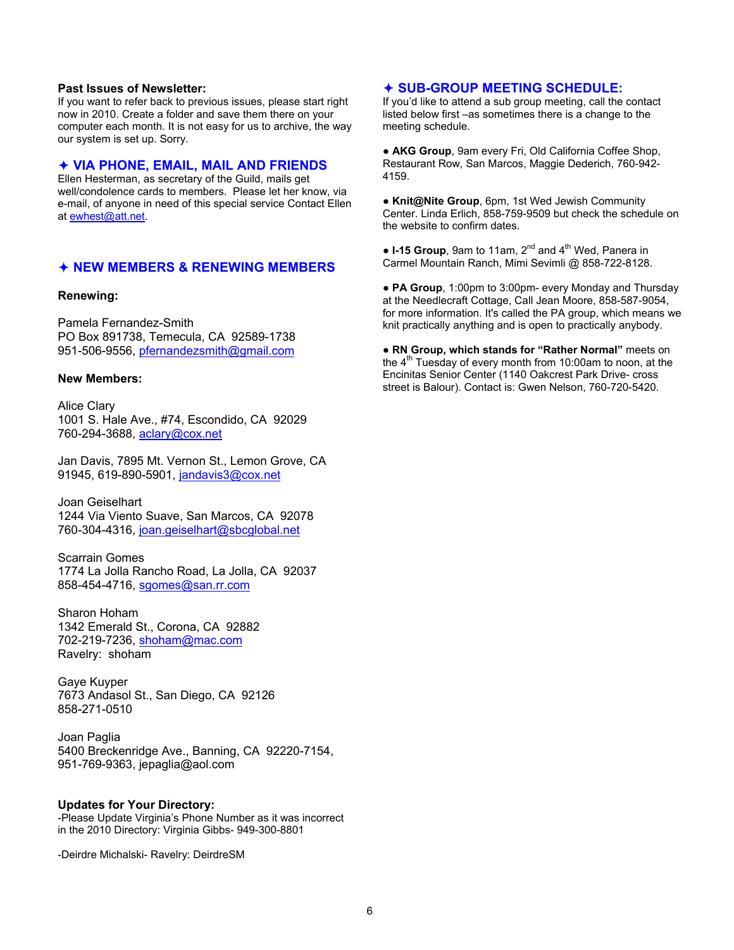#### **Past Issues of Newsletter:**

If you want to refer back to previous issues, please start right now in 2010. Create a folder and save them there on your computer each month. It is not easy for us to archive, the way our system is set up. Sorry.

#### Ø **VIA PHONE, EMAIL, MAIL AND FRIENDS**

Ellen Hesterman, as secretary of the Guild, mails get well/condolence cards to members. Please let her know, via e-mail, of anyone in need of this special service Contact Ellen at ewhest@att.net.

#### Ø **NEW MEMBERS & RENEWING MEMBERS**

#### **Renewing:**

Pamela Fernandez-Smith PO Box 891738, Temecula, CA 92589-1738 951-506-9556, pfernandezsmith@gmail.com

#### **New Members:**

Alice Clary 1001 S. Hale Ave., #74, Escondido, CA 92029 760-294-3688, aclary@cox.net

Jan Davis, 7895 Mt. Vernon St., Lemon Grove, CA 91945, 619-890-5901, jandavis3@cox.net

Joan Geiselhart 1244 Via Viento Suave, San Marcos, CA 92078 760-304-4316, joan.geiselhart@sbcglobal.net

Scarrain Gomes 1774 La Jolla Rancho Road, La Jolla, CA 92037 858-454-4716, sgomes@san.rr.com

Sharon Hoham 1342 Emerald St., Corona, CA 92882 702-219-7236, shoham@mac.com Ravelry: shoham

Gaye Kuyper 7673 Andasol St., San Diego, CA 92126 858-271-0510

Joan Paglia 5400 Breckenridge Ave., Banning, CA 92220-7154, 951-769-9363, jepaglia@aol.com

#### **Updates for Your Directory:**

-Please Update Virginia's Phone Number as it was incorrect in the 2010 Directory: Virginia Gibbs- 949-300-8801

-Deirdre Michalski- Ravelry: DeirdreSM

#### Ø **SUB-GROUP MEETING SCHEDULE:**

If you'd like to attend a sub group meeting, call the contact listed below first –as sometimes there is a change to the meeting schedule.

● **AKG Group**, 9am every Fri, Old California Coffee Shop, Restaurant Row, San Marcos, Maggie Dederich, 760-942- 4159.

● **Knit@Nite Group**, 6pm, 1st Wed Jewish Community Center. Linda Erlich, 858-759-9509 but check the schedule on the website to confirm dates.

• **I-15 Group**, 9am to 11am, 2<sup>nd</sup> and 4<sup>th</sup> Wed, Panera in Carmel Mountain Ranch, Mimi Sevimli @ 858-722-8128.

● **PA Group**, 1:00pm to 3:00pm- every Monday and Thursday at the Needlecraft Cottage, Call Jean Moore, 858-587-9054, for more information. It's called the PA group, which means we knit practically anything and is open to practically anybody.

**● RN Group, which stands for "Rather Normal"** meets on the  $4<sup>th</sup>$  Tuesday of every month from 10:00am to noon, at the Encinitas Senior Center (1140 Oakcrest Park Drive- cross street is Balour). Contact is: Gwen Nelson, 760-720-5420.